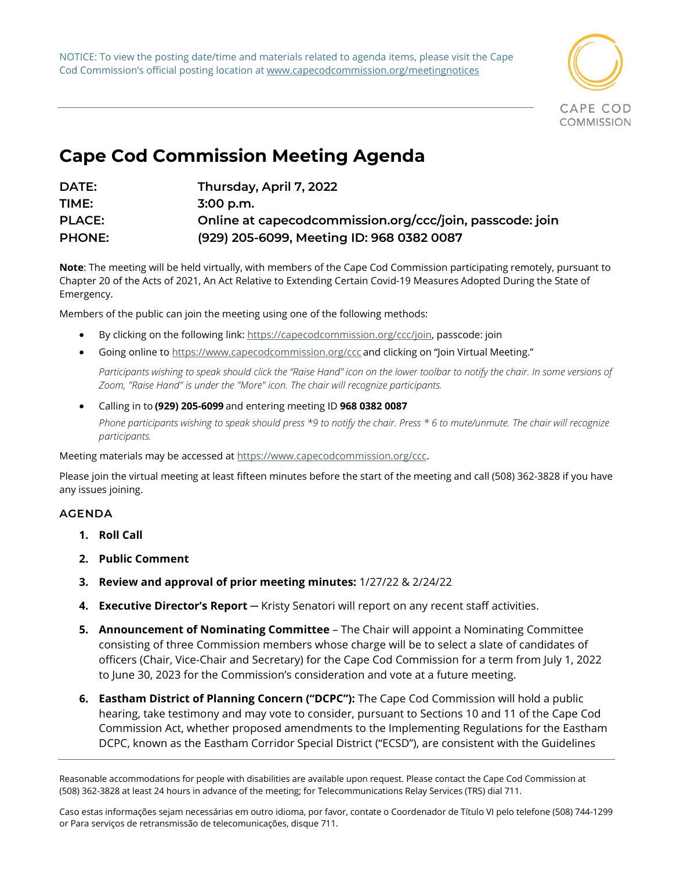NOTICE: To view the posting date/time and materials related to agenda items, please visit the Cape Cod Commission's official posting location at www.capecodcommission.org/meetingnotices



## **Cape Cod Commission Meeting Agenda**

| DATE:         | Thursday, April 7, 2022                                  |
|---------------|----------------------------------------------------------|
| TIME:         | $3:00$ p.m.                                              |
| <b>PLACE:</b> | Online at capecodcommission.org/ccc/join, passcode: join |
| <b>PHONE:</b> | (929) 205-6099, Meeting ID: 968 0382 0087                |

**Note**: The meeting will be held virtually, with members of the Cape Cod Commission participating remotely, pursuant to Chapter 20 of the Acts of 2021, An Act Relative to Extending Certain Covid-19 Measures Adopted During the State of Emergency.

Members of the public can join the meeting using one of the following methods:   

- By clicking on the following link: [https://capecodcommission.org/ccc/join,](https://capecodcommission.org/ccc/join) passcode: join
- Going online t[o https://www.capecodcommission.org/ccc](https://www.capecodcommission.org/ccc) and clicking on "Join Virtual Meeting."

Participants wishing to speak should click the "Raise Hand" icon on the lower toolbar to notify the chair. In some versions of *Zoom, "Raise Hand" is under the "More" icon. The chair will recognize participants.*

• Calling in to **(929) 205-6099** and entering meeting ID **968 0382 0087** *Phone participants wishing to speak should press \*9 to notify the chair. Press \* 6 to mute/unmute. The chair will recognize participants.*

Meeting materials may be accessed a[t https://www.capecodcommission.org/ccc.](https://www.capecodcommission.org/ccc)

Please join the virtual meeting at least fifteen minutes before the start of the meeting and call (508) 362-3828 if you have any issues joining.  

## **AGENDA**

- **1. Roll Call**
- **2. Public Comment**
- **3. Review and approval of prior meeting minutes:** 1/27/22 & 2/24/22
- **4. Executive Director's Report** ─ Kristy Senatori will report on any recent staff activities.
- **5. Announcement of Nominating Committee** The Chair will appoint a Nominating Committee consisting of three Commission members whose charge will be to select a slate of candidates of officers (Chair, Vice-Chair and Secretary) for the Cape Cod Commission for a term from July 1, 2022 to June 30, 2023 for the Commission's consideration and vote at a future meeting.
- **6. Eastham District of Planning Concern ("DCPC"):** The Cape Cod Commission will hold a public hearing, take testimony and may vote to consider, pursuant to Sections 10 and 11 of the Cape Cod Commission Act, whether proposed amendments to the Implementing Regulations for the Eastham DCPC, known as the Eastham Corridor Special District ("ECSD"), are consistent with the Guidelines

Reasonable accommodations for people with disabilities are available upon request. Please contact the Cape Cod Commission at (508) 362-3828 at least 24 hours in advance of the meeting; for Telecommunications Relay Services (TRS) dial 711.

Caso estas informações sejam necessárias em outro idioma, por favor, contate o Coordenador de Título VI pelo telefone (508) 744-1299 or Para serviços de retransmissão de telecomunicações, disque 711.